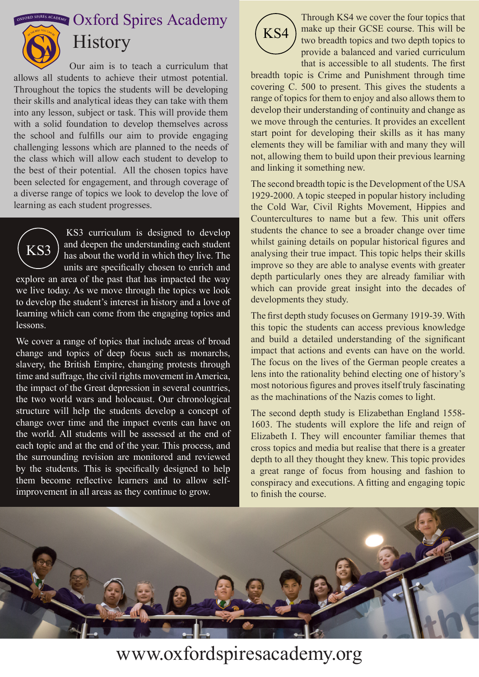$\frac{1}{2}$  **OXFORDSPIRES Academy** 



### **History**

Our aim is to teach a curriculum that allows all students to achieve their utmost potential. Throughout the topics the students will be developing their skills and analytical ideas they can take with them into any lesson, subject or task. This will provide them with a solid foundation to develop themselves across the school and fulfills our aim to provide engaging challenging lessons which are planned to the needs of the class which will allow each student to develop to the best of their potential. All the chosen topics have been selected for engagement, and through coverage of a diverse range of topics we look to develop the love of learning as each student progresses.



lessons.

KS3 curriculum is designed to develop and deepen the understanding each student has about the world in which they live. The units are specifically chosen to enrich and explore an area of the past that has impacted the way we live today. As we move through the topics we look to develop the student's interest in history and a love of learning which can come from the engaging topics and

We cover a range of topics that include areas of broad change and topics of deep focus such as monarchs, slavery, the British Empire, changing protests through time and suffrage, the civil rights movement in America, the impact of the Great depression in several countries, the two world wars and holocaust. Our chronological structure will help the students develop a concept of change over time and the impact events can have on the world. All students will be assessed at the end of each topic and at the end of the year. This process, and the surrounding revision are monitored and reviewed by the students. This is specifically designed to help them become reflective learners and to allow selfimprovement in all areas as they continue to grow.



Through KS4 we cover the four topics that make up their GCSE course. This will be two breadth topics and two depth topics to provide a balanced and varied curriculum that is accessible to all students. The first

breadth topic is Crime and Punishment through time covering C. 500 to present. This gives the students a range of topics for them to enjoy and also allows them to develop their understanding of continuity and change as we move through the centuries. It provides an excellent start point for developing their skills as it has many elements they will be familiar with and many they will not, allowing them to build upon their previous learning and linking it something new.

The second breadth topic is the Development of the USA 1929-2000. A topic steeped in popular history including the Cold War, Civil Rights Movement, Hippies and Countercultures to name but a few. This unit offers students the chance to see a broader change over time whilst gaining details on popular historical figures and analysing their true impact. This topic helps their skills improve so they are able to analyse events with greater depth particularly ones they are already familiar with which can provide great insight into the decades of developments they study.

The first depth study focuses on Germany 1919-39. With this topic the students can access previous knowledge and build a detailed understanding of the significant impact that actions and events can have on the world. The focus on the lives of the German people creates a lens into the rationality behind electing one of history's most notorious figures and proves itself truly fascinating as the machinations of the Nazis comes to light.

The second depth study is Elizabethan England 1558- 1603. The students will explore the life and reign of Elizabeth I. They will encounter familiar themes that cross topics and media but realise that there is a greater depth to all they thought they knew. This topic provides a great range of focus from housing and fashion to conspiracy and executions. A fitting and engaging topic to finish the course.



www.oxfordspiresacademy.org